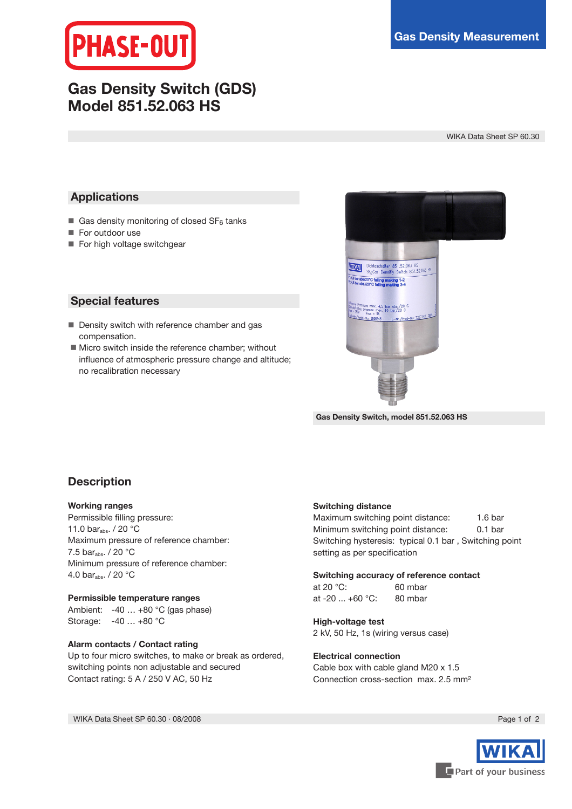

# **Gas Density Switch (GDS) Model 851.52.063 HS**

WIKA Data Sheet SP 60.30

## **Applications**

- Gas density monitoring of closed  $SF_6$  tanks
- **For outdoor use**
- For high voltage switchgear

### **Special features**

- Density switch with reference chamber and gas compensation.
- **Micro switch inside the reference chamber; without** influence of atmospheric pressure change and altitude; no recalibration necessary



**Gas Density Switch, model 851.52.063 HS**

# **Description**

### **Working ranges**

Permissible filling pressure: 11.0 bar<sub>abs</sub>. / 20 °C Maximum pressure of reference chamber: 7.5 bar<sub>abs</sub>. / 20 °C Minimum pressure of reference chamber: 4.0 bar<sub>abs</sub>. / 20 $\degree$ C

### **Permissible temperature ranges**

Ambient: -40 … +80 °C (gas phase) Storage: -40 … +80 °C

### **Alarm contacts / Contact rating**

Up to four micro switches, to make or break as ordered, switching points non adjustable and secured Contact rating: 5 A / 250 V AC, 50 Hz

### **Switching distance**

Maximum switching point distance: 1.6 bar Minimum switching point distance: 0.1 bar Switching hysteresis: typical 0.1 bar , Switching point setting as per specification

### **Switching accuracy of reference contact**

at 20 °C: 60 mbar at -20 ... +60 °C: 80 mbar

### **High-voltage test** 2 kV, 50 Hz, 1s (wiring versus case)

### **Electrical connection**

Cable box with cable gland M20 x 1.5 Connection cross-section max. 2.5 mm²

WIKA Data Sheet SP 60.30 · 08/2008 **Page 1 of 2 Page 1 of 2 Page 1 of 2**